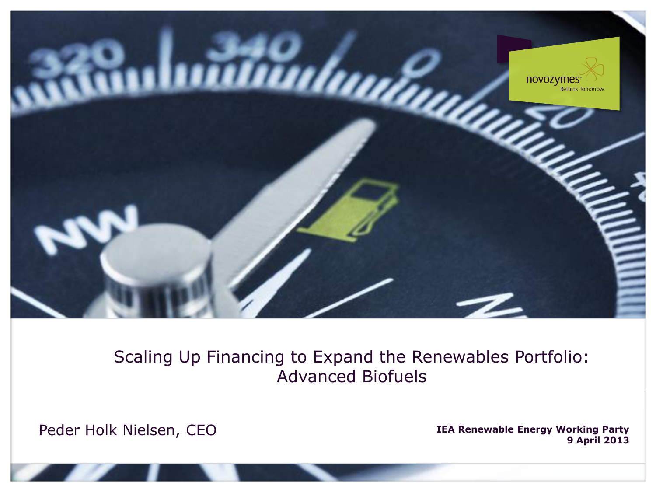

#### THE PATH TO COMMERCIALIZATION OF CELLULOSIC ETHANOL **BRIGHTER BRIGHTER SCAINTS** Scaling Up Financing to Expand the Renewables Portfolio: Advanced Biofuels

Peder Holk Nielsen, CEO

National Ethanol Conference, Orlando **February 23, 2012 IEA Renewable Energy Working Party 9 April 2013**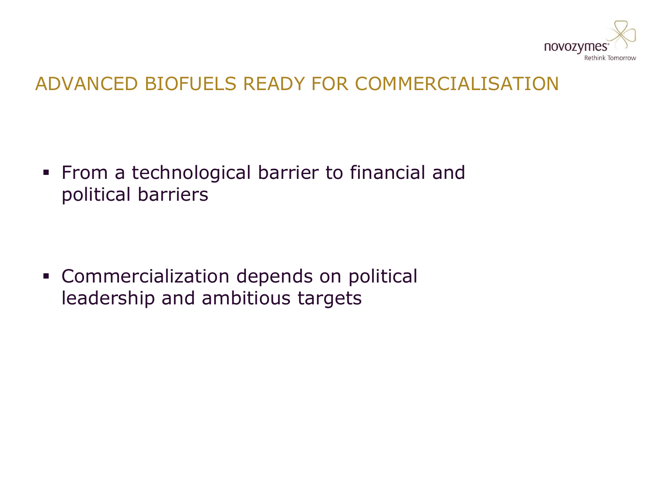

### ADVANCED BIOFUELS READY FOR COMMERCIALISATION

 From a technological barrier to financial and political barriers

 Commercialization depends on political leadership and ambitious targets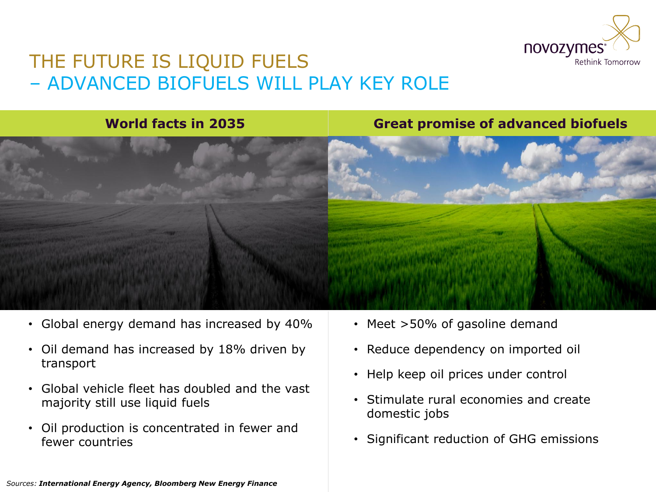

### THE FUTURE IS LIQUID FUELS – ADVANCED BIOFUELS WILL PLAY KEY ROLE

### **World facts in 2035 Great promise of advanced biofuels**



- Global energy demand has increased by 40%
- Oil demand has increased by 18% driven by transport
- Global vehicle fleet has doubled and the vast majority still use liquid fuels
- Oil production is concentrated in fewer and fewer countries
- Meet >50% of gasoline demand
- Reduce dependency on imported oil
- Help keep oil prices under control
- Stimulate rural economies and create domestic jobs
- Significant reduction of GHG emissions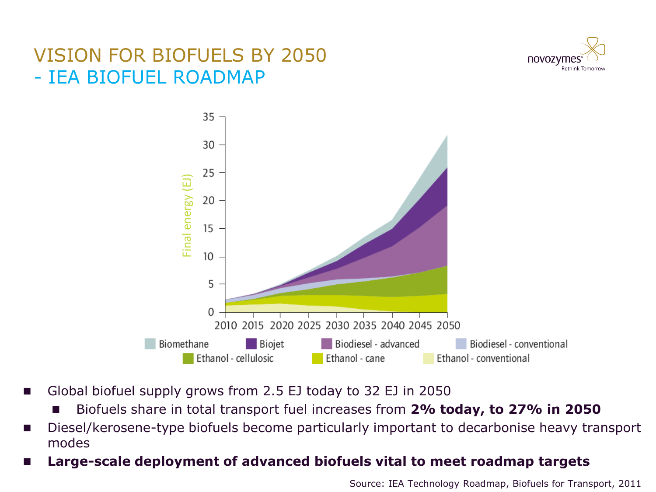### VISION FOR BIOFUELS BY 2050 - IEA BIOFUEL ROADMAP





- Global biofuel supply grows from 2.5 EJ today to 32 EJ in 2050
	- Biofuels share in total transport fuel increases from **2% today, to 27% in 2050**
- Diesel/kerosene-type biofuels become particularly important to decarbonise heavy transport modes
- 

Source: IEA Technology Roadmap, Biofuels for Transport, 2011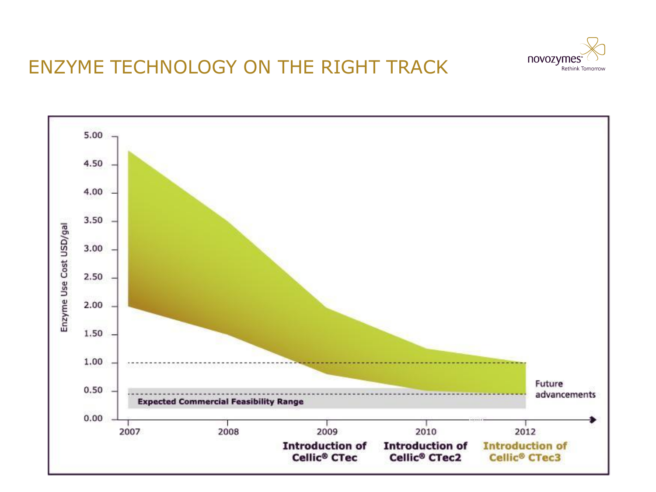

### ENZYME TECHNOLOGY ON THE RIGHT TRACK

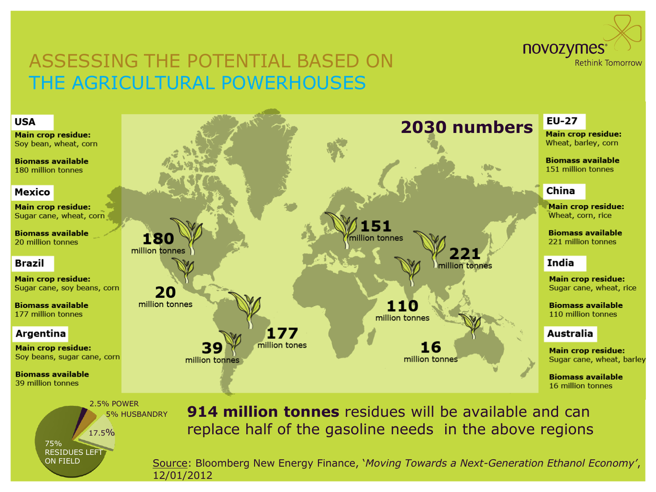### ASSESSING THE POTENTIAL BASED ON THE AGRICULTURAL POWERHOUSES



#### **USA**

**Main crop residue:** Soy bean, wheat, corn

**Biomass available** 180 million tonnes

#### Mexico

**Main crop residue:** Sugar cane, wheat, corn

**Biomass available** 20 million tonnes

#### **Brazil**

**Main crop residue:** Sugar cane, soy beans, corn

**Biomass available** 177 million tonnes

#### Argentina

**Main crop residue:** Soy beans, sugar cane, corn

**Biomass available** 39 million tonnes



5% HUSBANDRY

17.5% 75% RESIDUES LEFT ON FIELD

2.5% POWER<br>**A 5% HUSBANDRY 914 million tonnes** residues will be available and can replace half of the gasoline needs in the above regions

> Source: Bloomberg New Energy Finance, '*Moving Towards a Next-Generation Ethanol Economy'*, 12/01/2012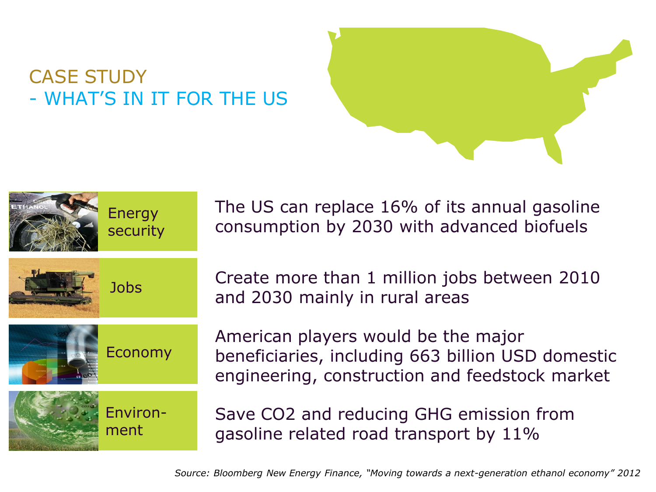### CASE STUDY - WHAT'S IN IT FOR THE US





The US can replace 16% of its annual gasoline consumption by 2030 with advanced biofuels

Create more than 1 million jobs between 2010 and 2030 mainly in rural areas

American players would be the major beneficiaries, including 663 billion USD domestic engineering, construction and feedstock market

Save CO2 and reducing GHG emission from gasoline related road transport by 11%

*Source: Bloomberg New Energy Finance, "Moving towards a next-generation ethanol economy" 2012*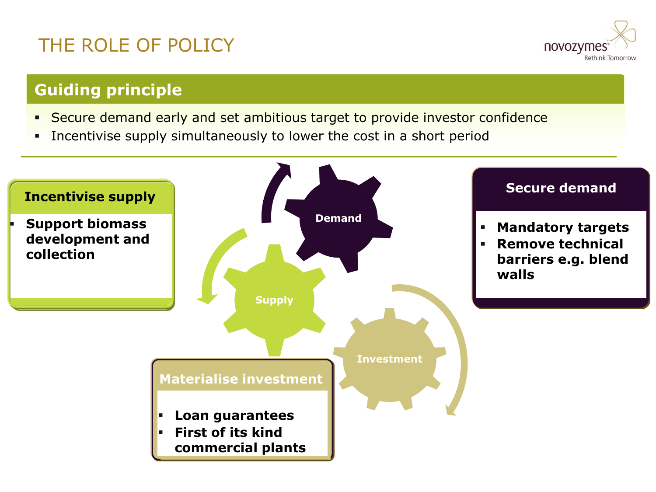## THE ROLE OF POLICY



### **Guiding principle**

- Secure demand early and set ambitious target to provide investor confidence
- **Incentivise supply simultaneously to lower the cost in a short period**

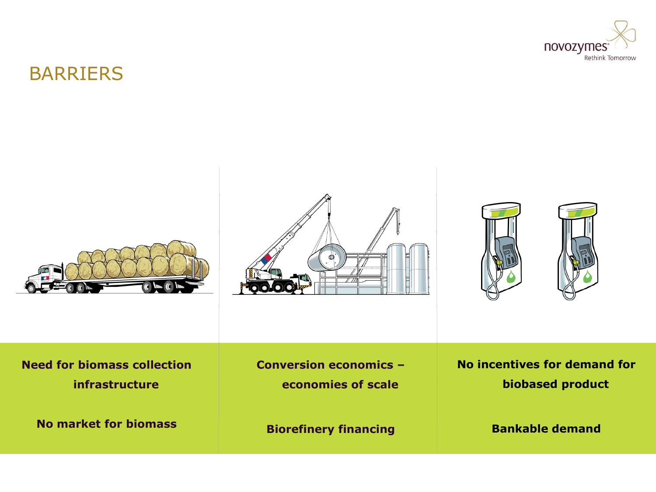

### BARRIERS

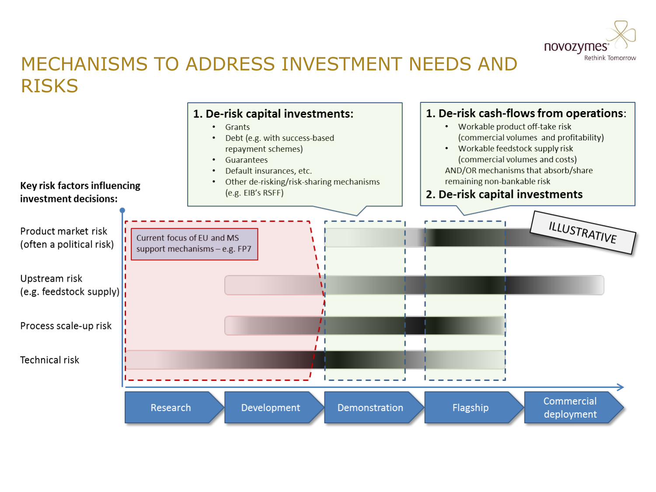

### MECHANISMS TO ADDRESS INVESTMENT NEEDS AND **RISKS**

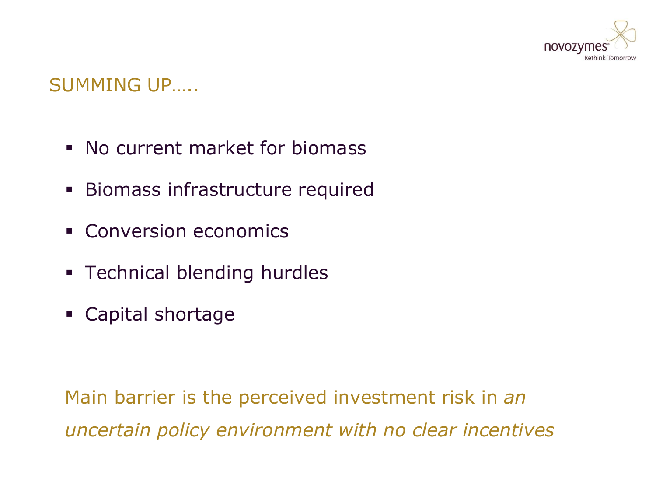

### SUMMING UP…..

- No current market for biomass
- **Biomass infrastructure required**
- **Conversion economics**
- **F** Technical blending hurdles
- Capital shortage

Main barrier is the perceived investment risk in *an uncertain policy environment with no clear incentives*